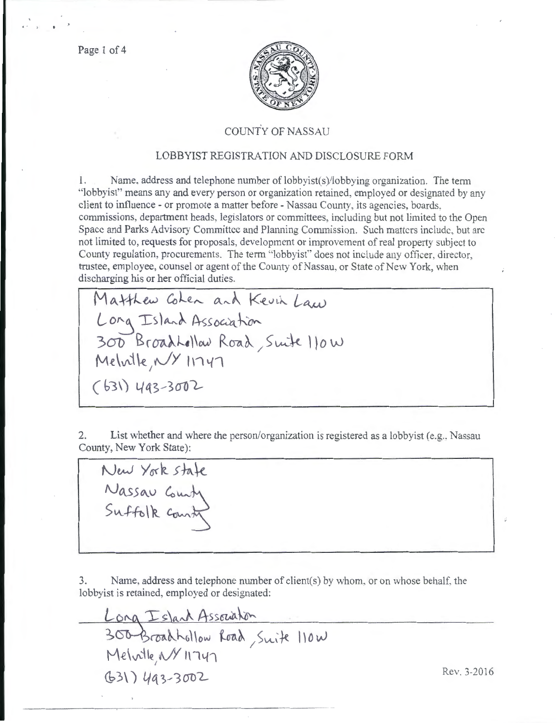Page 1 of 4



## COUNTY OF NASSAU

## LOBBYIST REGISTRATION AND DISCLOSURE FORM

I. Name. address and telephone number of lobbyist(s)/lobbying organization. The term "lobbyist" means any and every person or organization retained, employed or designated by any client to influence - or promote a matter before- Nassau County, its agencies, boards, commissions, department heads, legislators or committees, including but not limited to the Open Space and Parks Advisory Committee and Planning Commission. Such matters include, but arc not limited to, requests for proposals, development or improvement of real property subject to County regulation, procurements. The tenn "lobbyist" does not include any officer, director, trustee, employee, counsel or agent of the County of Nassau, or State of New York, when discharging his or her official duties.

Matthew Cohen and Kevin Law ong Island Association  $300$  BroadLellaw Road, Smite 110 W  $Melwile, N$  11747 *(* **65\) Ytts- 301)l.-**

2. List whether and where the person/organization is registered as a lobbyist (e.g., Nassau County, New York State):

New York state Nassau County

3. Name, address and telephone number of client(s) by whom, or on whose behalf. the lobbyist is retained, employed or designated:

 $\frac{L_{\text{onq}}}{L_{\text{ond}}}\frac{L_{\text{slab}}}{L_{\text{ond}}}\rightarrow\$ Melville<sub>, N</sub>Y 11747  $(63)$   $(493-3002)$  Rev. 3-2016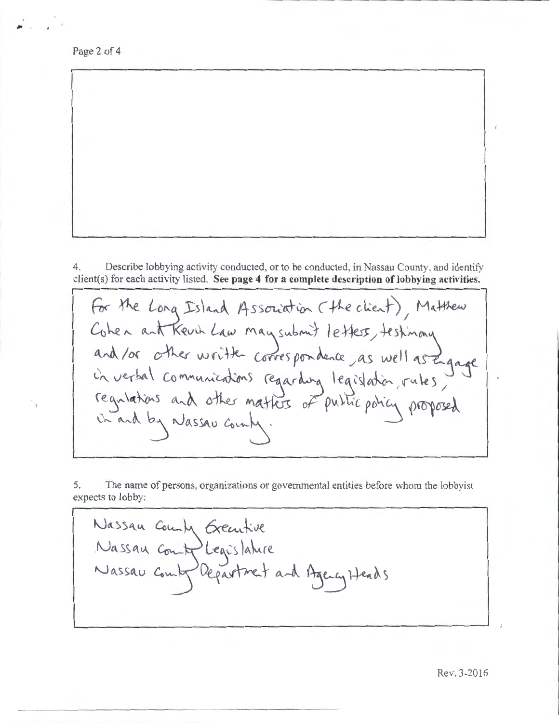Page 2 of 4

-------------------- -

4. Describe lobbying activity conducted, or to be conducted, in Nassau County, and identify client(s) for each activity listed. **See page 4 for a complete description of lobbying activities.** 

For the Long Island Association (the client), Matthew Cohen ant Keuch Law may submit letters, testinany<br>and / or other written correspondence as well as Engage<br>in verbal communications regarding legislation, rules, in and by Nassau county.

5. The name of persons, organizations or governmental entities before whom the lobbyist expects to lobby:

 $\alpha$ ecutive  $L$ eges lanie Department and Agency Heads

Rev. 3-2016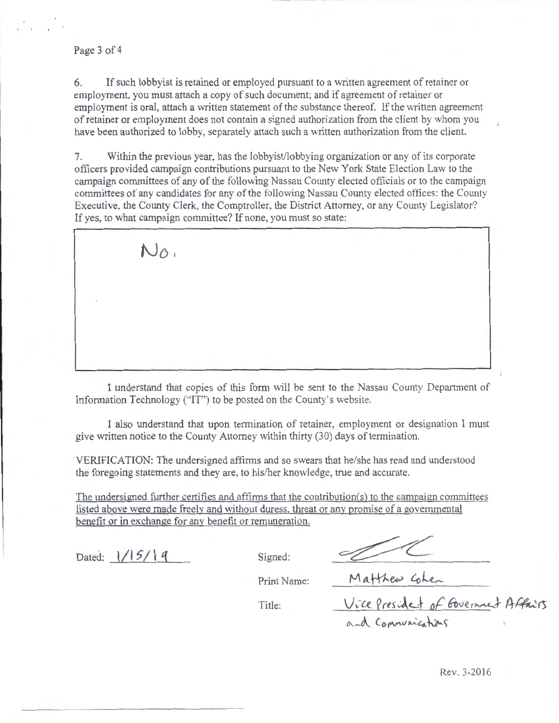6. If such lobby is retained or employed pursuant to a written agreement of retainer or employment, you must attach a copy of such document; and if agreement of retainer or employment is oral, attach a written statement of the substance thereof. If the written agreement of retainer or employment does not contain a signed authorization from the client by whom you have been authorized to lobby, separately attach such a written authorization from the client.

7. Within the previous year, has the lobbyist/lobbying organization or any of its corporate officers provided campaign contributions pursuant to the New York State Election Law to the campaign committees of any of the following Nassau County elected officials or to the campaign committees of any candidates for any of the following Nassau County elected offices: the County Executive, the County Clerk, the Comptroller, the District Attorney, or any County Legislator? If yes, to what campaign committee? If none, you must so state:



I understand that copies of this form will be sent to the Nassau County Department of Information Technology ("IT") to be posted on the County's website.

I also understand that upon termination of retainer, employment or designation I must give written notice to the County Attorney within thirty (30) days of termination.

VERIFICATION: The undersigned affirms and so swears that he/she has read and understood the foregoing statements and they are, to his/her knowledge, true and accurate.

The undersigned further certifies and affirms that the contribution(s) to the campaign committees listed above were made freely and without duress. threat or any promise of a governmental benefit or in exchange for any benefit or remuneration.

Dated:  $1/15/19$  Signed:

Print Name:

Print Name: Matthew Cohen<br>Title: Vice President of Government Affairs and Communications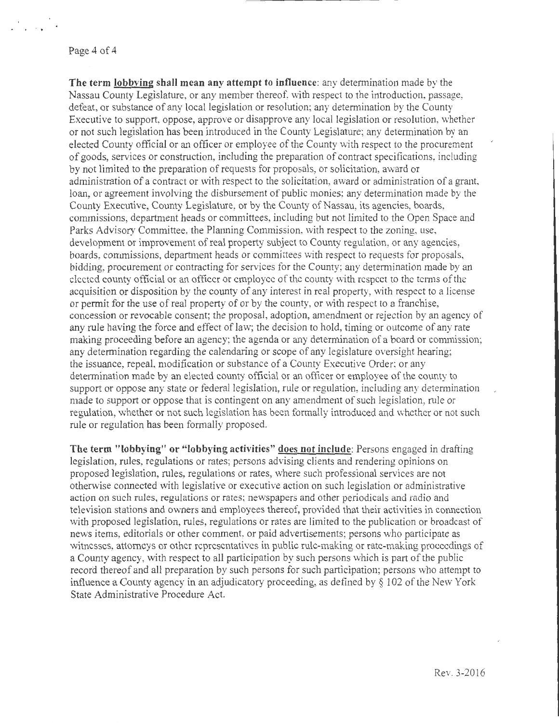Page 4 of 4

**The term lobbying shall mean any attempt to influence:** any determination made by the Nassau County Legislature, or any member thereof, with respect to the introduction, passage, defeat, or substance of any local legislation or resolution; any determination by the County Executive to support, oppose, approve or disapprove any local legislation or resolution, whether or not such legislation has been introduced in the County Legislature; any determination by an elected County official or an officer or employee of the County with respect to the procurement of goods, services or construction, including the preparation of contract specifications, including by not limited to the preparation of requests for proposals, or solicitation, award or administration of a contract or with respect to the solicitation, award or administration of a grant, loan, or agreement involving the disbursement of public monies: any determination made by the County Executive, County Legislature, or by the County of Nassau, its agencies, boards, commissions, department heads or committees, including but not limited to the Open Space and Parks Advisory Committee, the Planning Commission, with respect to the zoning, use, development or improvement of real property subject to County regulation, or any agencies, boards, commissions, department heads or committees with respect to requests for proposals, bidding, procurement or contracting for services for the County; any determination made by an elected county official or an officer or employee of the county with respect to the terms of the acquisition or disposition by the county of any interest in real property, with respect to a license or permit for the use of real property of or by the county, or with respect to a franchise, concession or revocable consent; the proposal, adoption, amendment or rejection by an agency of any rule having the force and effect of law; the decision to hold, timing or outcome of any rate making proceeding before an agency; the agenda or any determination of a board or commission; any determination regarding the calendaring or scope of any legislature oversight hearing; the issuance, repeal, modification or substance of a County Executive Order: or any determination made by an elected county official or an officer or employee of the county to support or oppose any state or federal legislation, rule or regulation, including any determination made to support or oppose that is contingent on any amendment of such legislation, mle or regulation, whether or not such legislation has been formally introduced and whether or not such rule or regulation has been formally proposed.

**The term "lobbying" or "lobbying activities"** docs **not include:** Persons engaged in drafting legislation, rules, regulations or rates; persons advising clients and rendering opinions on proposed legislation, rules, regulations or rates, where such professional services are not otherwise cmmected with legislative or executive action on such legislation or administrative action on such rules, regulations or rates; newspapers and other periodicals and radio and television stations and owners and employees thereof, provided that their activities in connection with proposed legislation, rules, regulations or rates are limited to the publication or broadcast of news items, editorials or other comment, or paid advertisements; persons who participate as witnesses, attorneys or other representatives in public rule-making or rate-making proceedings of a County agency, with respect to all participation by such persons which is part of the public record thereof and all preparation by such persons for such participation; persons who attempt to influence a County agency in an adjudicatory proceeding, as defined by § 102 of the New York State Administrative Procedure Act.